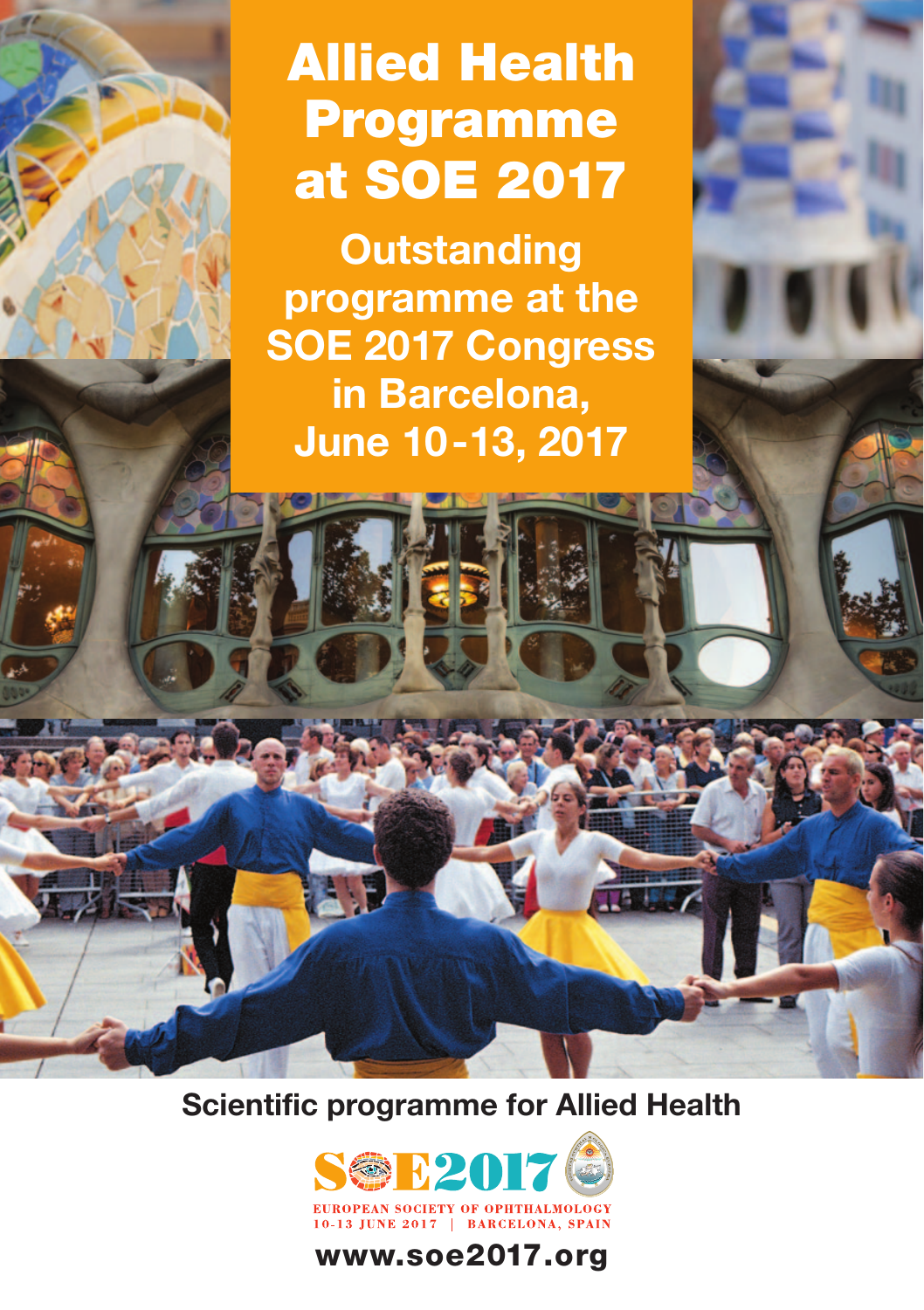# **Allied Health Programme at SOE 2017**

**Outstanding programme at the SOE 2017 Congress in Barcelona, June 10-13, 2017**

**Scientific programme for Allied Health**



### **www.soe2017.org**